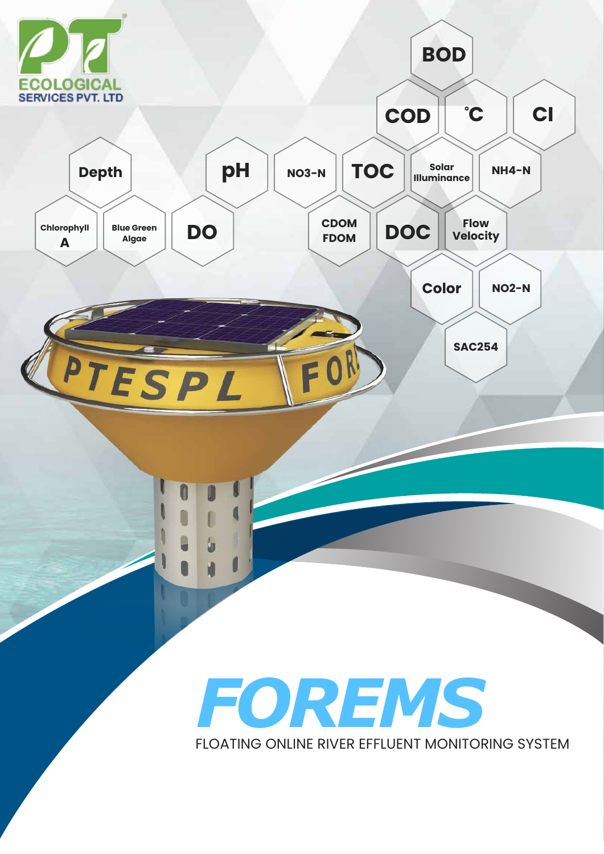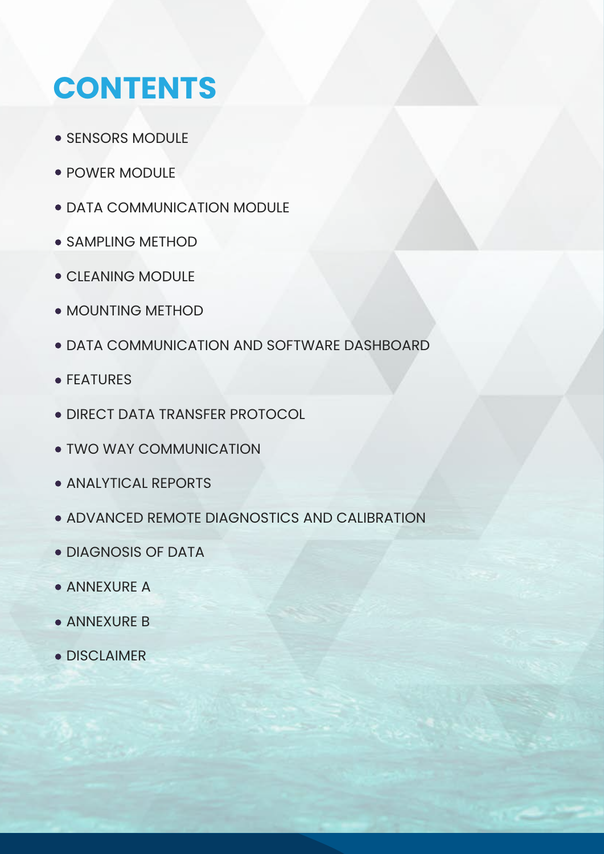# **CONTENTS**

- **SENSORS MODULE**
- **POWER MODULE**
- **DATA COMMUNICATION MODULE**
- **SAMPLING METHOD**
- CLEANING MODULE
- MOUNTING METHOD
- DATA COMMUNICATION AND SOFTWARE DASHBOARD
- **FEATURES**
- DIRECT DATA TRANSFER PROTOCOL
- TWO WAY COMMUNICATION
- **ANALYTICAL REPORTS**
- ADVANCED REMOTE DIAGNOSTICS AND CALIBRATION
- DIAGNOSIS OF DATA
- **ANNEXURE A**
- **ANNEXURE B**
- **DISCLAIMER**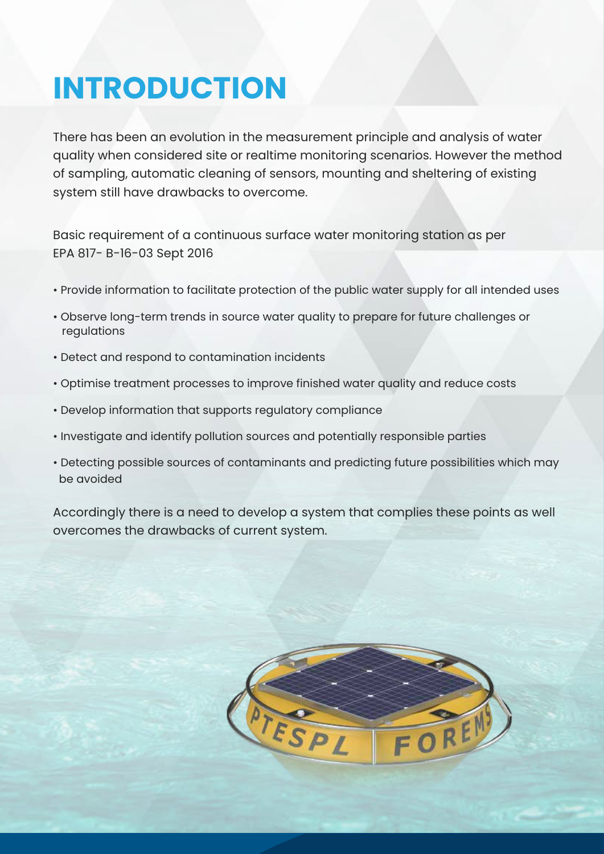# **INTRODUCTION**

There has been an evolution in the measurement principle and analysis of water quality when considered site or realtime monitoring scenarios. However the method of sampling, automatic cleaning of sensors, mounting and sheltering of existing system still have drawbacks to overcome.

Basic requirement of a continuous surface water monitoring station as per EPA 817- B-16-03 Sept 2016

- Provide information to facilitate protection of the public water supply for all intended uses
- Observe long-term trends in source water quality to prepare for future challenges or regulations
- Detect and respond to contamination incidents
- Optimise treatment processes to improve finished water quality and reduce costs
- Develop information that supports regulatory compliance
- Investigate and identify pollution sources and potentially responsible parties
- Detecting possible sources of contaminants and predicting future possibilities which may be avoided

Accordingly there is a need to develop a system that complies these points as well overcomes the drawbacks of current system.

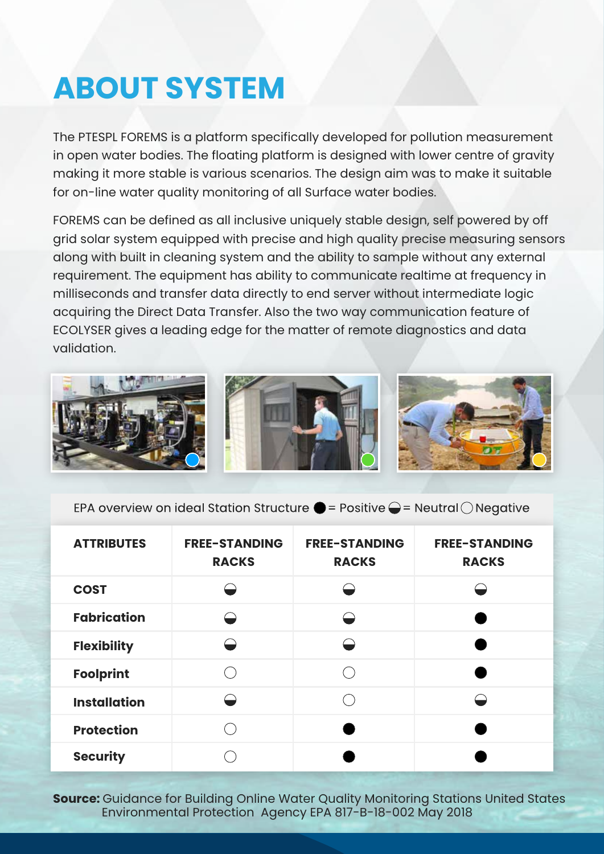# **ABOUT SYSTEM**

The PTESPL FOREMS is a platform specifically developed for pollution measurement in open water bodies. The floating platform is designed with lower centre of gravity making it more stable is various scenarios. The design aim was to make it suitable for on-line water quality monitoring of all Surface water bodies.

FOREMS can be defined as all inclusive uniquely stable design, self powered by off grid solar system equipped with precise and high quality precise measuring sensors along with built in cleaning system and the ability to sample without any external requirement. The equipment has ability to communicate realtime at frequency in milliseconds and transfer data directly to end server without intermediate logic acquiring the Direct Data Transfer. Also the two way communication feature of ECOLYSER gives a leading edge for the matter of remote diagnostics and data validation.



EPA overview on ideal Station Structure  $\bigcirc$  = Positive  $\bigcirc$  = Neutral  $\bigcirc$  Negative

| <b>ATTRIBUTES</b>   | <b>FREE-STANDING</b><br><b>RACKS</b> | <b>FREE-STANDING</b><br><b>RACKS</b> | <b>FREE-STANDING</b><br><b>RACKS</b> |
|---------------------|--------------------------------------|--------------------------------------|--------------------------------------|
| <b>COST</b>         |                                      |                                      |                                      |
| <b>Fabrication</b>  |                                      | $\overline{\phantom{0}}$             |                                      |
| <b>Flexibility</b>  |                                      | $\ominus$                            |                                      |
| <b>Foolprint</b>    |                                      |                                      |                                      |
| <b>Installation</b> |                                      |                                      |                                      |
| <b>Protection</b>   |                                      |                                      |                                      |
| <b>Security</b>     |                                      |                                      |                                      |

**Source:** Guidance for Building Online Water Quality Monitoring Stations United States Environmental Protection Agency EPA 817-B-18-002 May 2018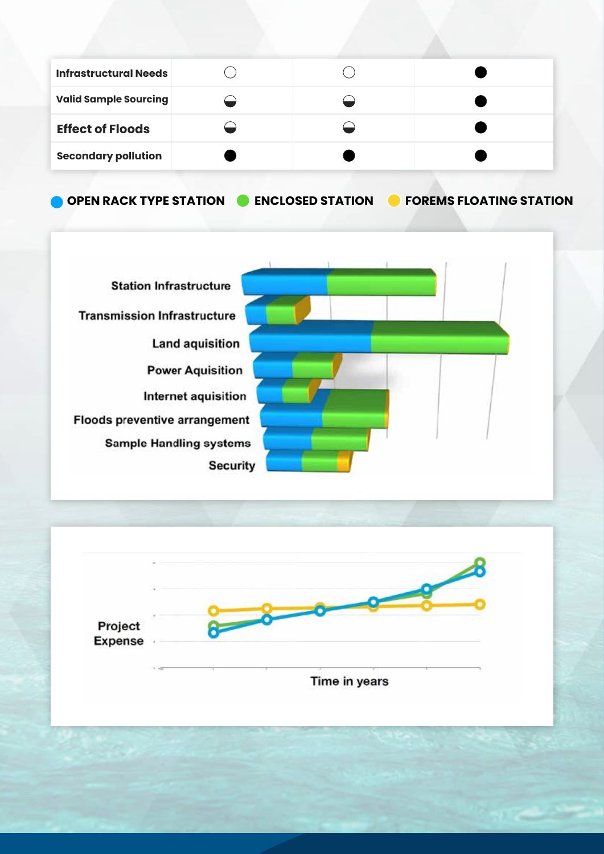| <b>Infrastructural Needs</b> |  |  |
|------------------------------|--|--|
| <b>Valid Sample Sourcing</b> |  |  |
| <b>Effect of Floods</b>      |  |  |
| <b>Secondary pollution</b>   |  |  |

**OPEN RACK TYPE STATION ENCLOSED STATION FOREMS FLOATING STATION**



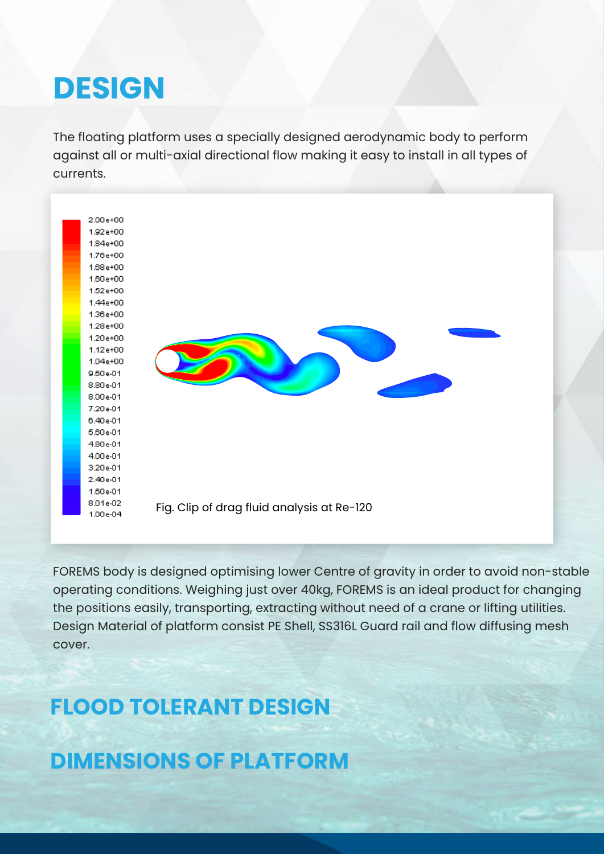## **DESIGN**

The floating platform uses a specially designed aerodynamic body to perform against all or multi-axial directional flow making it easy to install in all types of currents.



FOREMS body is designed optimising lower Centre of gravity in order to avoid non-stable operating conditions. Weighing just over 40kg, FOREMS is an ideal product for changing the positions easily, transporting, extracting without need of a crane or lifting utilities. Design Material of platform consist PE Shell, SS316L Guard rail and flow diffusing mesh cover.

### **FLOOD TOLERANT DESIGN**

**DIMENSIONS OF PLATFORM**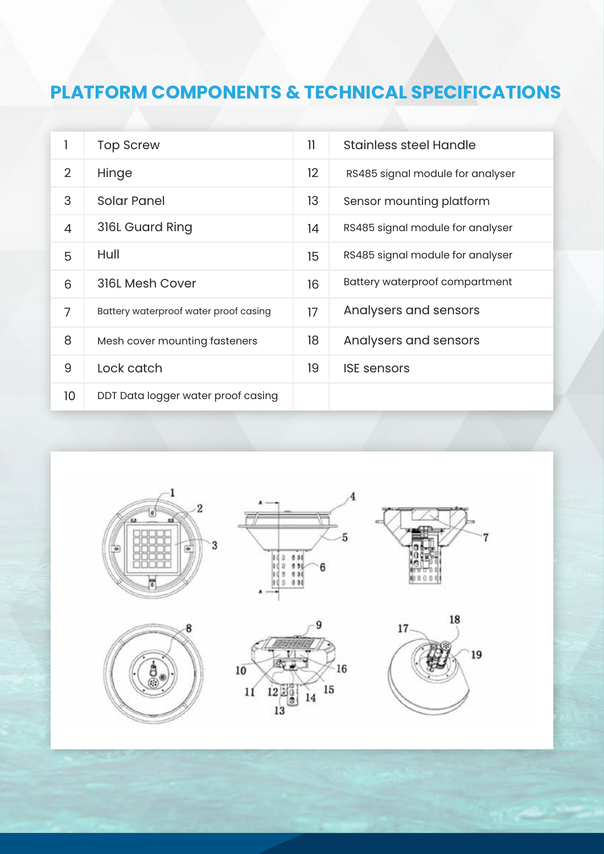### **PLATFORM COMPONENTS & TECHNICAL SPECIFICATIONS**

|                | <b>Top Screw</b>                      | 11      | Stainless steel Handle           |
|----------------|---------------------------------------|---------|----------------------------------|
| 2              | Hinge                                 | $12 \,$ | RS485 signal module for analyser |
| 3              | Solar Panel                           | 13      | Sensor mounting platform         |
| 4              | 316L Guard Ring                       | 14      | RS485 signal module for analyser |
| 5              | Hull                                  | 15      | RS485 signal module for analyser |
| 6              | 316L Mesh Cover                       | 16      | Battery waterproof compartment   |
| $\overline{7}$ | Battery waterproof water proof casing | 17      | Analysers and sensors            |
| 8              | Mesh cover mounting fasteners         | 18      | Analysers and sensors            |
| 9              | Lock catch                            | 19      | <b>ISE</b> sensors               |
| 10             | DDT Data logger water proof casing    |         |                                  |





 $13$ 



 $\overline{4}$ 

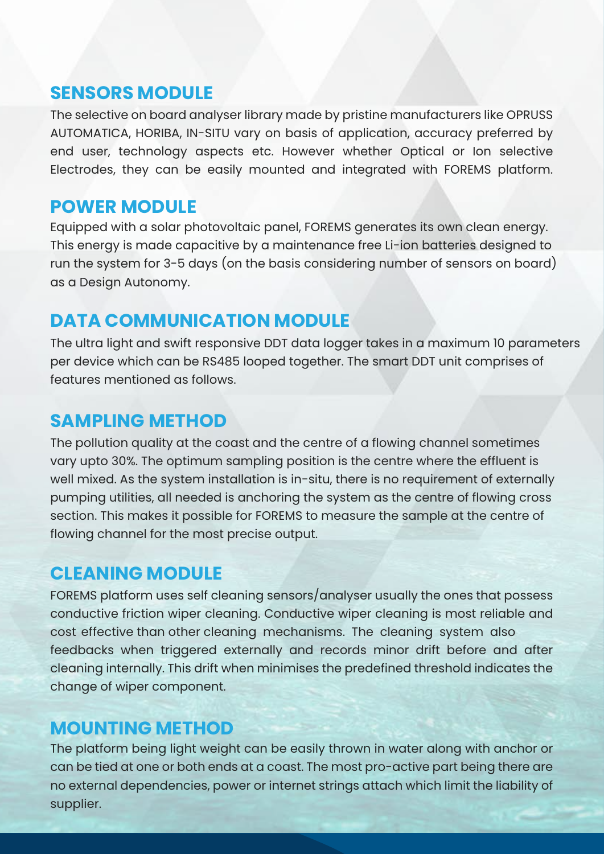#### **SENSORS MODULE**

The selective on board analyser library made by pristine manufacturers like OPRUSS AUTOMATICA, HORIBA, IN-SITU vary on basis of application, accuracy preferred by end user, technology aspects etc. However whether Optical or Ion selective Electrodes, they can be easily mounted and integrated with FOREMS platform.

#### **POWER MODULE**

Equipped with a solar photovoltaic panel, FOREMS generates its own clean energy. This energy is made capacitive by a maintenance free Li-ion batteries designed to run the system for 3-5 days (on the basis considering number of sensors on board) as a Design Autonomy.

#### **DATA COMMUNICATION MODULE**

The ultra light and swift responsive DDT data logger takes in a maximum 10 parameters per device which can be RS485 looped together. The smart DDT unit comprises of features mentioned as follows.

#### **SAMPLING METHOD**

The pollution quality at the coast and the centre of a flowing channel sometimes vary upto 30%. The optimum sampling position is the centre where the effluent is well mixed. As the system installation is in-situ, there is no requirement of externally pumping utilities, all needed is anchoring the system as the centre of flowing cross section. This makes it possible for FOREMS to measure the sample at the centre of flowing channel for the most precise output.

#### **CLEANING MODULE**

FOREMS platform uses self cleaning sensors/analyser usually the ones that possess conductive friction wiper cleaning. Conductive wiper cleaning is most reliable and cost effective than other cleaning mechanisms. The cleaning system also feedbacks when triggered externally and records minor drift before and after cleaning internally. This drift when minimises the predefined threshold indicates the change of wiper component.

#### **MOUNTING METHOD**

The platform being light weight can be easily thrown in water along with anchor or can be tied at one or both ends at a coast. The most pro-active part being there are no external dependencies, power or internet strings attach which limit the liability of supplier.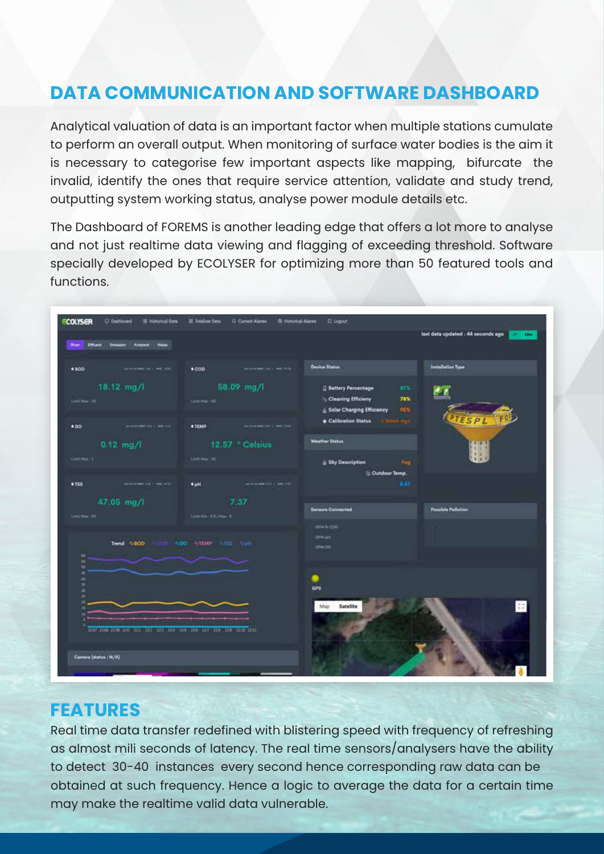### **DATA COMMUNICATION AND SOFTWARE DASHBOARD**

Analytical valuation of data is an important factor when multiple stations cumulate to perform an overall output. When monitoring of surface water bodies is the aim it is necessary to categorise few important aspects like mapping, bifurcate the invalid, identify the ones that require service attention, validate and study trend, outputting system working status, analyse power module details etc.

The Dashboard of FOREMS is another leading edge that offers a lot more to analyse and not just realtime data viewing and flagging of exceeding threshold. Software specially developed by ECOLYSER for optimizing more than 50 featured tools and functions.

| <b>COLYSER</b><br>C Dathboard<br><b>III</b> Hittorical Data                         | <b>III</b> Totalizer Data<br><b>D. Current Alarms</b><br>@ Historical Alama         | <b>ID</b> Logout                                                                                                                  |                                              |
|-------------------------------------------------------------------------------------|-------------------------------------------------------------------------------------|-----------------------------------------------------------------------------------------------------------------------------------|----------------------------------------------|
| <b>IMant</b><br>Nolae<br><b>Missir</b><br>Anthiate                                  |                                                                                     |                                                                                                                                   | last data updated : 44 seconds ago<br>of the |
| $+100$<br>and researchers in watching                                               | <b>MOREMOUR CREATE</b><br>$\bullet$ COD                                             | <b>Device Status</b>                                                                                                              | Installation Type                            |
| 18.12 mg/l<br>Limit Max 199                                                         | 58.09 mg/l<br>LinkMai: 50                                                           | <b>Battery Percentage</b><br>37%<br>78%<br>Cleaning Efficieny<br>Solar Charging Efficiency<br>95%<br>Calibration Status 1970-1980 | ØΖ<br>ESPL                                   |
| 00 <sup>o</sup><br><b>NOTES BRACE CONTRACT</b><br>$0.12$ mg/l<br><b>LiverMan 15</b> | <b>+TEMP</b><br><b>ANTERNAMERICA MOLTON</b><br>12.57 Celsius<br><b>Circl Max 20</b> | <b>Weather Status</b>                                                                                                             | 机                                            |
| accounts (A) adults<br>$+755$                                                       | write-se 32 c as 101<br>*pH                                                         | Sky Description<br>Fog.<br>Cutdoor Temp.<br>B, 64                                                                                 |                                              |
| 47.05 mg/l<br>Limit Max 531                                                         | 7.37<br>Lind Min 155   Mar. 8.                                                      | <b>Sensors Connected</b><br>OPH R-COD                                                                                             | <b>Possible Pollution</b>                    |
| Trend: 4800<br>$\blacksquare$<br>×                                                  | WDO VTEMP VISIT OF                                                                  | OPM pHR<br>CRM DO                                                                                                                 |                                              |
| w<br>a<br>$\frac{4}{10}$<br>×<br>m                                                  |                                                                                     | œ<br>ars                                                                                                                          |                                              |
| 2157 2158 2158 226 221 222 223 224 225 225 227 228 229 2210 2211                    |                                                                                     | Map<br>Satellite                                                                                                                  | $\mathbb{C}^n_+$                             |
| Camera (status : N/A)                                                               |                                                                                     |                                                                                                                                   |                                              |

#### **FEATURES**

Real time data transfer redefined with blistering speed with frequency of refreshing as almost mili seconds of latency. The real time sensors/analysers have the ability to detect 30-40 instances every second hence corresponding raw data can be obtained at such frequency. Hence a logic to average the data for a certain time may make the realtime valid data vulnerable.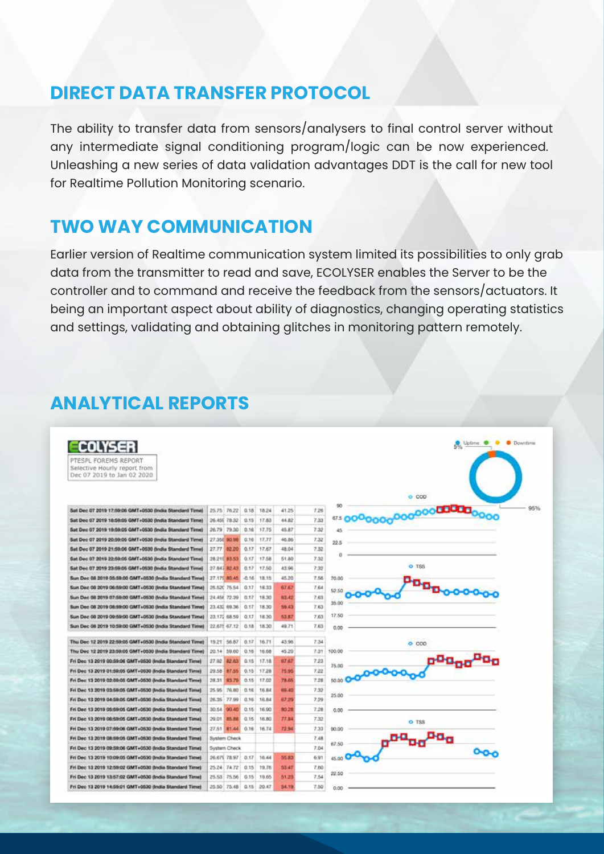#### **DIRECT DATA TRANSFER PROTOCOL**

The ability to transfer data from sensors/analysers to final control server without any intermediate signal conditioning program/logic can be now experienced. Unleashing a new series of data validation advantages DDT is the call for new tool for Realtime Pollution Monitoring scenario.

#### **TWO WAY COMMUNICATION**

Earlier version of Realtime communication system limited its possibilities to only grab data from the transmitter to read and save, ECOLYSER enables the Server to be the controller and to command and receive the feedback from the sensors/actuators. It being an important aspect about ability of diagnostics, changing operating statistics and settings, validating and obtaining glitches in monitoring pattern remotely.

### **ANALYTICAL REPORTS**

Fri Dec 13 2019 14:59:01 GMT+0530 (India Standard Time) 25:50 75:48 0.15 20:47 54:19

| COLYSER<br>PTESPL FOREMS REPORT<br>Selective Hourly report from<br>Dec 07 2019 to Jan 02 2020 |       |               |         |       |              |      |                    | <b>Downtime</b><br>Uptime <sup>8</sup><br>赤 |
|-----------------------------------------------------------------------------------------------|-------|---------------|---------|-------|--------------|------|--------------------|---------------------------------------------|
|                                                                                               |       |               |         |       |              |      | 60                 | $O$ COD                                     |
| Sat Dec 07 2019 17:59:06 GMT+0530 (India Standard Time)                                       |       | 25.75 76.22   | 0.18    | 18.24 | 41.25        | 7.26 |                    | 0000000000000 <b>00000</b><br>95%           |
| Sat Dec 07 2019 18:59:05 GMT+0530 (India Standard Time)                                       |       | 26.45E 78.32  | 0.15    | 17.83 | 44.82        | 7.33 | 67.5 <sub>l</sub>  |                                             |
| Sat Dec 07 2019 19:59:05 GMT+0530 (India Standard Time)                                       |       | 26.79 79.30   | 0.16    | 17.75 | 45.87        | 7.32 | 45                 |                                             |
| Sat Dec 07 2019 20:59:05 GMT+0530 (India Standard Time)                                       |       | 27:356 80.98  | 0.16    | 17.77 | 46.86        | 7.32 | 22.5               |                                             |
| Sat Dec 07 2010 21:50:06 GMT+0530 (India Standard Time)                                       | 27.77 | 82.00         | 0.17    | 17.67 | 48.04        | 7.32 | ö                  |                                             |
| Sat Dec 07 2019 22:50:05 GMT+0530 (India Standard Time)                                       |       | 28.215.83.53  | 0.17    | 17.58 | 51.80        | 7.32 |                    |                                             |
| Sat Dec 07 2019 23:59:05 GMT+0530 (India Standard Time)                                       |       | 27.847.82.431 | 0.17    | 17.50 | 43.96        | 7.32 |                    | $O$ T <sub>88</sub>                         |
| Sun Dec 08 2019 05:59:00 GMT+0530 (India Standard Time)                                       |       | 27.170.00.45  | $-0.16$ | 18.15 | 45.20        | 7.56 | 75.00              |                                             |
| Sun Dec 08 2019 06:59:00 GMT+0530 (India Standard Time)                                       |       | 25.520 75.54  | 0.17    | 18.33 | 67.67        | 7.64 | \$2.50             | <b>Poop</b> oooo                            |
| Sun Dec 08 2019 07:59:00 GMT+0530 (India Standard Time)                                       |       | 24.458 72.39  | 0.17    | 18.30 | 83.42        | 7.63 |                    |                                             |
| Sun Dec 08 2019 08:59:00 GMT+0530 (India Standard Time)                                       |       | 23.432 09.36  | 0.17    | 18.30 | 59.43        | 7.63 | 35.00              |                                             |
| Sun Dec 08 2019 09:59:00 GMT+0530 (India Standard Time)                                       |       | 23.172 68.59  | 0.17    | 18.30 | 53.87        | 7.63 | 17.50              |                                             |
| Sun Dec 08 2019 10:59:00 GMT+0530 (India Standard Time)                                       |       | 22,675 67.12  | 0.18    | 18.30 | 49.71        | 7.63 | 0.00               |                                             |
| Thu Dec. 12 2019 22:59:05 GMT+0530 (India Standard Time)                                      |       | 19.21 56.87   | 0.17    | 16.71 | 43.96        | 7.34 |                    | $O$ $COO$                                   |
| Thu Dec 12 2019 23:59:05 GMT+0530 (India Standard Time)                                       | 20.14 | 59.60         | 0.16    | 16.68 | 45.20        | 7.31 | 100.00             |                                             |
| Fri Dec 13 2019 00:59:06 GMT+0530 (India Standard Time)                                       | 27.92 | 22.63         | 0.15    | 17.18 | 67.67        | 7.23 |                    | o <sup>00</sup> 00                          |
| Fri Dec 13 2019 01:59:05 GMT+0530 (India Standard Time)                                       | 29.58 | 87.55         | 0.15    | 17.28 | 75.95        | 7.22 | 75.00              |                                             |
| Fri Dec 13 2019 02:59:05 GMT+0530 (India Standard Time)                                       | 28.31 | 83.79         | 0.15    | 17.02 | 78.65        | 7.28 | 50.00 <sup>C</sup> |                                             |
| Fri Dec 13 2019 03:59:05 GMT+0530 (India Standard Time)                                       | 25.95 | 76.80         | 0.16    | 16.84 | 89.85        | 7.32 |                    |                                             |
| Fri Dec 13 2019 04:59:05 GMT+0530 Bndia Standard Time)                                        | 26.35 | 77.99         | 0.16    | 16.84 | 82.29        | 7.29 | 25.00              |                                             |
| Fri Dec 13 2019 05:59:05 GMT+0530 (India Standard Time)                                       | 30.54 | 90.40         | 0.15    | 16.90 | 83.28        | 7.28 | 0.00               |                                             |
| Fri Dec 13 2019 06:59:05 GMT+0530 (India Standard Time)                                       | 29.01 | 715, 517      | 0.15    | 15.80 | <b>TT B4</b> | 7.32 |                    | O TSS                                       |
| Fri Dec 13 2019 07:59:00 GMT+0530 (India Standard Time)                                       | 27.51 | 81.44         | 0.16    | 16.74 | 72.94        | 7.33 | 90.00              |                                             |
| Fri Dec 13 2019 08:50:05 GMT+0530 (India Standard Time)                                       |       | System Check  |         |       |              | 7.48 |                    |                                             |
| Fri Dec 13 2019 09:59:06 GMT+0530 (India Standard Time)                                       |       | System Check  |         |       |              | 7.04 | 67.50              |                                             |
| Fri Dec 13 2019 10:09:05 GMT+0530 (India Standard Time)                                       |       | 26.675 78.97  | 0.17    | 16.44 | 55.83        | 6.91 | 45.00              | ⊶o                                          |
| Fri Dec 13 2019 12:59:02 GMT+0530 (India Standard Time)                                       |       | 25.24 74.72   | 0.15    | 19.76 | 53.47        | 7.60 |                    |                                             |
| Fri Dec 13 2019 13:57:02 GMT+0530 (India Standard Time)                                       |       | 25.53 75.56   | 0.15    | 19.65 | 51.23        | 7.54 | 22.50              |                                             |

 $7.50\qquad$  n m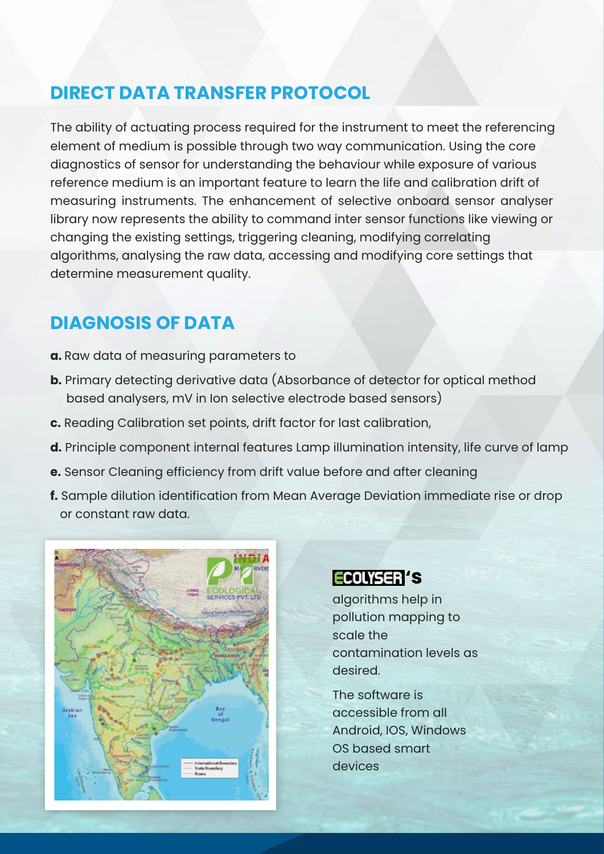#### **DIRECT DATA TRANSFER PROTOCOL**

The ability of actuating process required for the instrument to meet the referencing element of medium is possible through two way communication. Using the core diagnostics of sensor for understanding the behaviour while exposure of various reference medium is an important feature to learn the life and calibration drift of measuring instruments. The enhancement of selective onboard sensor analyser library now represents the ability to command inter sensor functions like viewing or changing the existing settings, triggering cleaning, modifying correlating algorithms, analysing the raw data, accessing and modifying core settings that determine measurement quality.

#### **DIAGNOSIS OF DATA**

- **a.** Raw data of measuring parameters to
- **b.** Primary detecting derivative data (Absorbance of detector for optical method based analysers, mV in Ion selective electrode based sensors)
- **c.** Reading Calibration set points, drift factor for last calibration,
- **d.** Principle component internal features Lamp illumination intensity, life curve of lamp
- **e.** Sensor Cleaning efficiency from drift value before and after cleaning
- **f.** Sample dilution identification from Mean Average Deviation immediate rise or drop or constant raw data.



#### **ECOLYSER 'S**

algorithms help in pollution mapping to scale the contamination levels as desired.

The software is accessible from all Android, IOS, Windows OS based smart devices